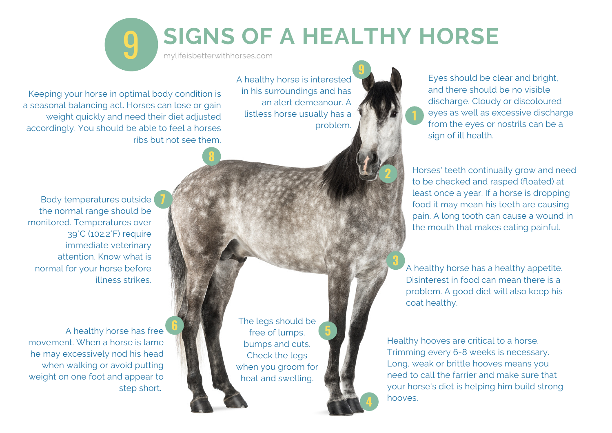## 9 **SIGNS OF A HEALTHY HORSE**

mylifeisbetterwithhorses.com

**8**

A healthy horse is interested in his surroundings and has an alert demeanour. A listless horse usually has a problem.

Keeping your horse in optimal body condition is a seasonal balancing act. Horses can lose or gain weight quickly and need their diet adjusted accordingly. You should be able to feel a horses ribs but not see them. Eyes should be clear and bright, and there should be no visible discharge. Cloudy or discoloured eyes as well as excessive discharge from the eyes or nostrils can be a sign of ill health.

**1**

**2**

**9**

**3**

**4**

Horses' teeth continually grow and need to be checked and rasped (floated) at least once a year. If a horse is dropping food it may mean his teeth are causing pain. A long tooth can cause a wound in the mouth that makes eating painful.

A healthy horse has a healthy appetite. Disinterest in food can mean there is a problem. A good diet will also keep his coat healthy.

Healthy hooves are critical to a horse. Trimming every 6-8 weeks is necessary. Long, weak or brittle hooves means you need to call the farrier and make sure that your horse's diet is helping him build strong hooves.

Body temperatures outside **7** the normal range should be monitored. Temperatures over 39°C (102.2°F) require immediate veterinary attention. Know what is normal for your horse before illness strikes.

A healthy horse has free movement. When a horse is lame he may excessively nod his head when walking or avoid putting weight on one foot and appear to step short.

**6**

The legs should be free of lumps, bumps and cuts. Check the legs when you groom for heat and swelling.

**5**